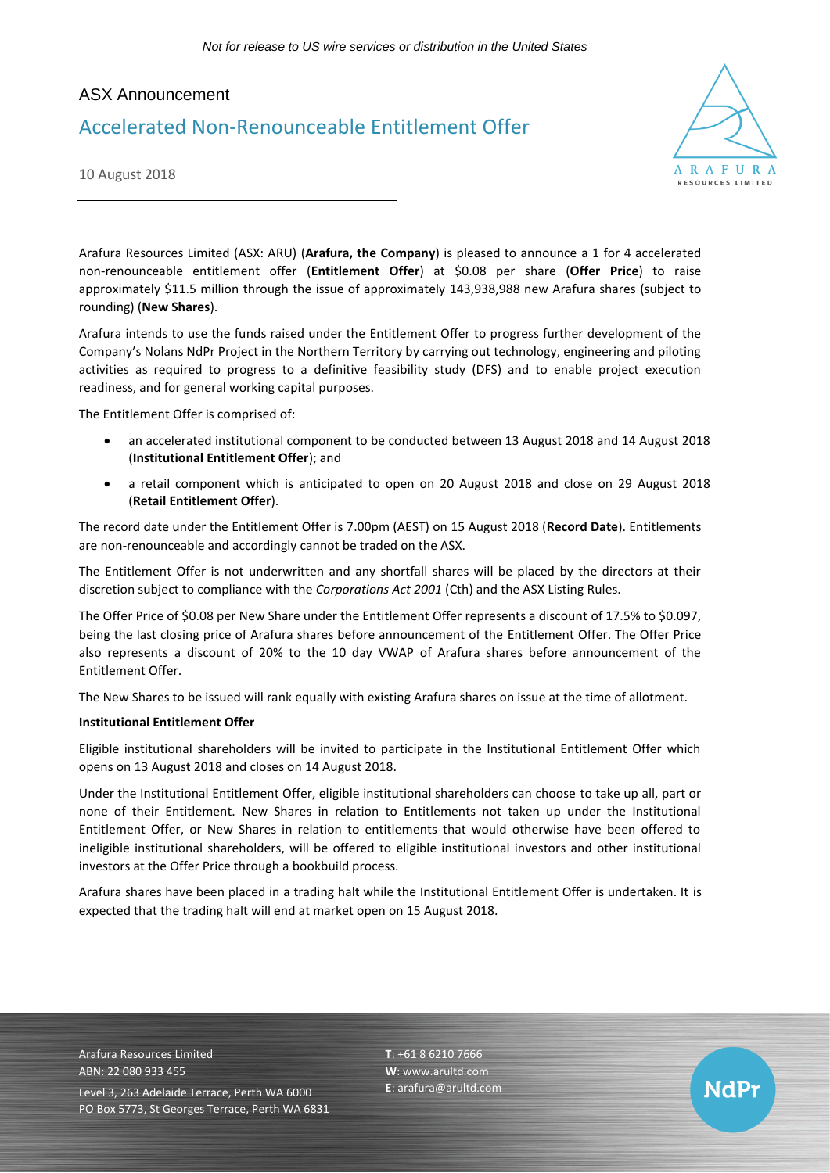# ASX Announcement

# Accelerated Non-Renounceable Entitlement Offer



NdPr

10 August 2018

Arafura Resources Limited (ASX: ARU) (**Arafura, the Company**) is pleased to announce a 1 for 4 accelerated non-renounceable entitlement offer (**Entitlement Offer**) at \$0.08 per share (**Offer Price**) to raise approximately \$11.5 million through the issue of approximately 143,938,988 new Arafura shares (subject to rounding) (**New Shares**).

Arafura intends to use the funds raised under the Entitlement Offer to progress further development of the Company's Nolans NdPr Project in the Northern Territory by carrying out technology, engineering and piloting activities as required to progress to a definitive feasibility study (DFS) and to enable project execution readiness, and for general working capital purposes.

The Entitlement Offer is comprised of:

- an accelerated institutional component to be conducted between 13 August 2018 and 14 August 2018 (**Institutional Entitlement Offer**); and
- a retail component which is anticipated to open on 20 August 2018 and close on 29 August 2018 (**Retail Entitlement Offer**).

The record date under the Entitlement Offer is 7.00pm (AEST) on 15 August 2018 (**Record Date**). Entitlements are non-renounceable and accordingly cannot be traded on the ASX.

The Entitlement Offer is not underwritten and any shortfall shares will be placed by the directors at their discretion subject to compliance with the *Corporations Act 2001* (Cth) and the ASX Listing Rules.

The Offer Price of \$0.08 per New Share under the Entitlement Offer represents a discount of 17.5% to \$0.097, being the last closing price of Arafura shares before announcement of the Entitlement Offer. The Offer Price also represents a discount of 20% to the 10 day VWAP of Arafura shares before announcement of the Entitlement Offer.

The New Shares to be issued will rank equally with existing Arafura shares on issue at the time of allotment.

#### **Institutional Entitlement Offer**

Eligible institutional shareholders will be invited to participate in the Institutional Entitlement Offer which opens on 13 August 2018 and closes on 14 August 2018.

Under the Institutional Entitlement Offer, eligible institutional shareholders can choose to take up all, part or none of their Entitlement. New Shares in relation to Entitlements not taken up under the Institutional Entitlement Offer, or New Shares in relation to entitlements that would otherwise have been offered to ineligible institutional shareholders, will be offered to eligible institutional investors and other institutional investors at the Offer Price through a bookbuild process.

Arafura shares have been placed in a trading halt while the Institutional Entitlement Offer is undertaken. It is expected that the trading halt will end at market open on 15 August 2018.

Arafura Resources Limited ABN: 22 080 933 455 Level 3, 263 Adelaide Terrace, Perth WA 6000 PO Box 5773, St Georges Terrace, Perth WA 6831 **T**: +61 8 6210 7666 **W**: [www.arultd.com](http://www.arultd.com/) **E**[: arafura@arultd.com](mailto:arafura@arultd.com)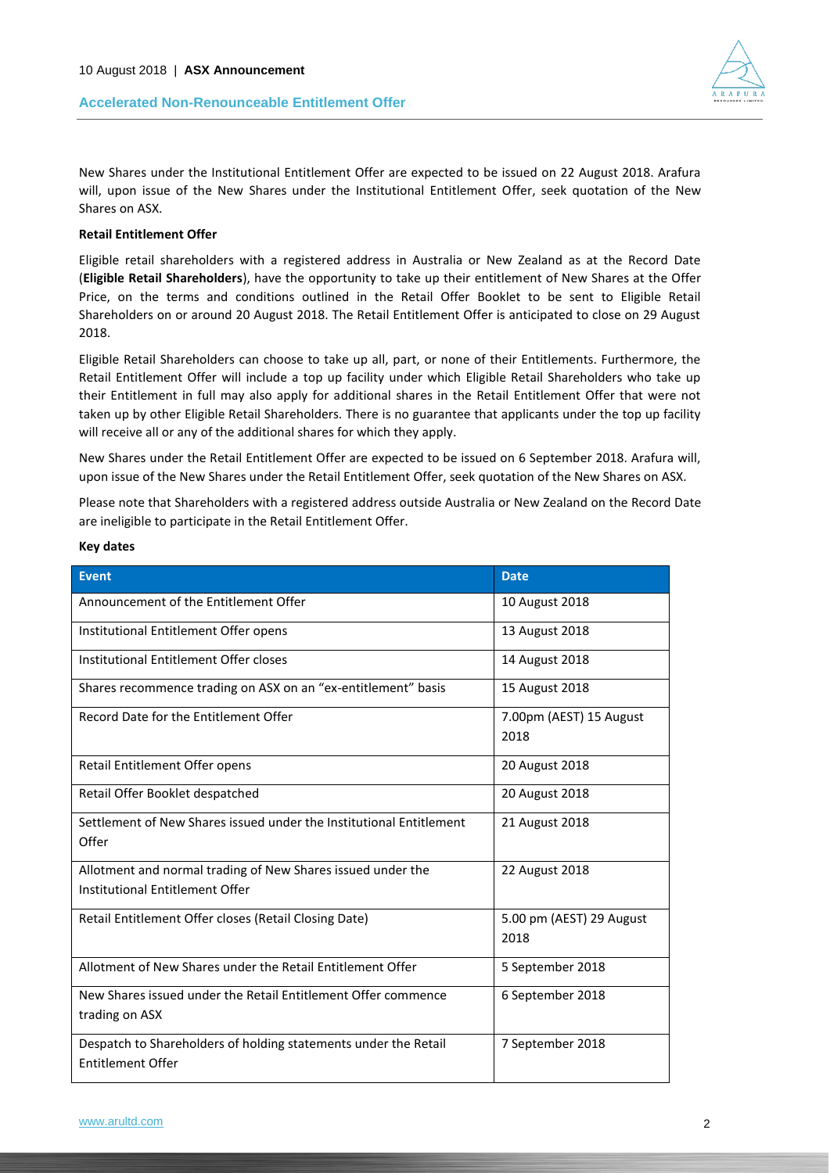## **Accelerated Non-Renounceable Entitlement Offer**



New Shares under the Institutional Entitlement Offer are expected to be issued on 22 August 2018. Arafura will, upon issue of the New Shares under the Institutional Entitlement Offer, seek quotation of the New Shares on ASX.

### **Retail Entitlement Offer**

Eligible retail shareholders with a registered address in Australia or New Zealand as at the Record Date (**Eligible Retail Shareholders**), have the opportunity to take up their entitlement of New Shares at the Offer Price, on the terms and conditions outlined in the Retail Offer Booklet to be sent to Eligible Retail Shareholders on or around 20 August 2018. The Retail Entitlement Offer is anticipated to close on 29 August 2018.

Eligible Retail Shareholders can choose to take up all, part, or none of their Entitlements. Furthermore, the Retail Entitlement Offer will include a top up facility under which Eligible Retail Shareholders who take up their Entitlement in full may also apply for additional shares in the Retail Entitlement Offer that were not taken up by other Eligible Retail Shareholders. There is no guarantee that applicants under the top up facility will receive all or any of the additional shares for which they apply.

New Shares under the Retail Entitlement Offer are expected to be issued on 6 September 2018. Arafura will, upon issue of the New Shares under the Retail Entitlement Offer, seek quotation of the New Shares on ASX.

Please note that Shareholders with a registered address outside Australia or New Zealand on the Record Date are ineligible to participate in the Retail Entitlement Offer.

| <b>Event</b>                                                                                   | <b>Date</b>                      |
|------------------------------------------------------------------------------------------------|----------------------------------|
| Announcement of the Entitlement Offer                                                          | 10 August 2018                   |
| Institutional Entitlement Offer opens                                                          | 13 August 2018                   |
| Institutional Entitlement Offer closes                                                         | 14 August 2018                   |
| Shares recommence trading on ASX on an "ex-entitlement" basis                                  | 15 August 2018                   |
| Record Date for the Entitlement Offer                                                          | 7.00pm (AEST) 15 August<br>2018  |
| Retail Entitlement Offer opens                                                                 | 20 August 2018                   |
| Retail Offer Booklet despatched                                                                | 20 August 2018                   |
| Settlement of New Shares issued under the Institutional Entitlement<br>Offer                   | 21 August 2018                   |
| Allotment and normal trading of New Shares issued under the<br>Institutional Entitlement Offer | 22 August 2018                   |
| Retail Entitlement Offer closes (Retail Closing Date)                                          | 5.00 pm (AEST) 29 August<br>2018 |
| Allotment of New Shares under the Retail Entitlement Offer                                     | 5 September 2018                 |
| New Shares issued under the Retail Entitlement Offer commence<br>trading on ASX                | 6 September 2018                 |
| Despatch to Shareholders of holding statements under the Retail<br><b>Entitlement Offer</b>    | 7 September 2018                 |

#### **Key dates**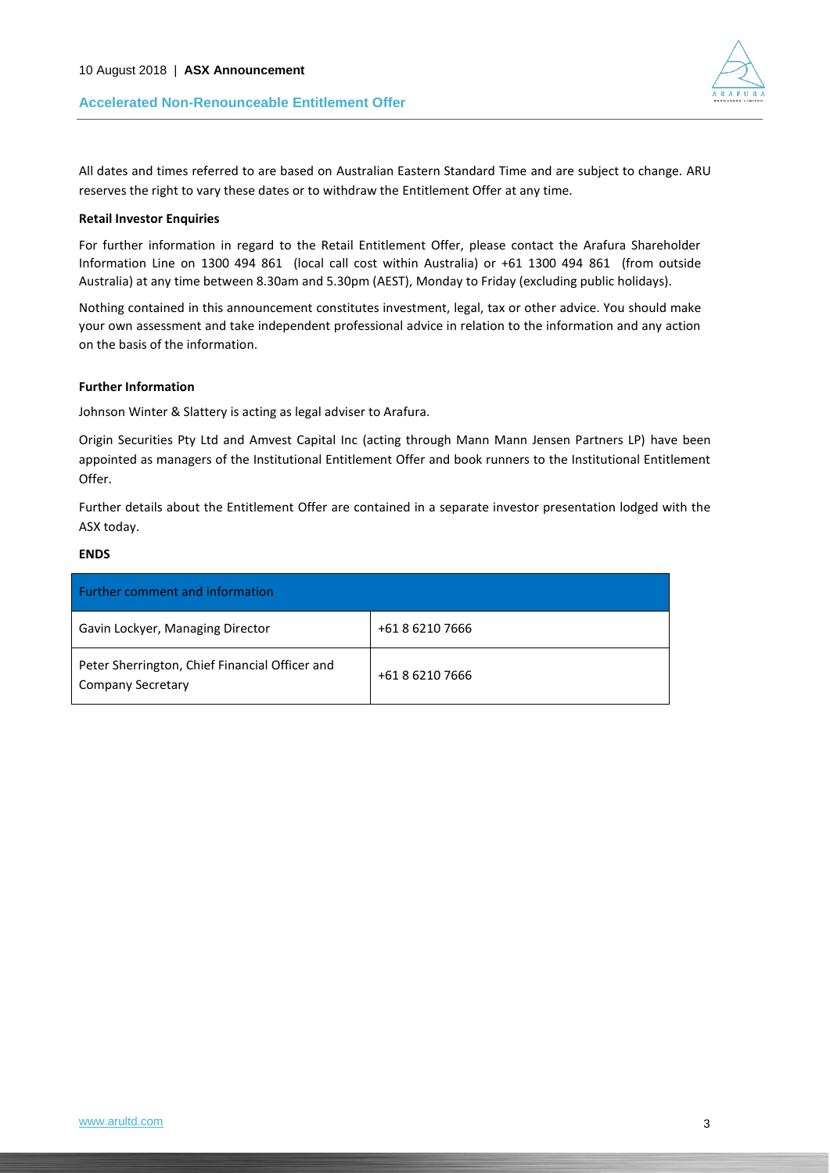# **Accelerated Non-Renounceable Entitlement Offer**

All dates and times referred to are based on Australian Eastern Standard Time and are subject to change. ARU reserves the right to vary these dates or to withdraw the Entitlement Offer at any time.

#### **Retail Investor Enquiries**

For further information in regard to the Retail Entitlement Offer, please contact the Arafura Shareholder Information Line on 1300 494 861 (local call cost within Australia) or +61 1300 494 861 (from outside Australia) at any time between 8.30am and 5.30pm (AEST), Monday to Friday (excluding public holidays).

Nothing contained in this announcement constitutes investment, legal, tax or other advice. You should make your own assessment and take independent professional advice in relation to the information and any action on the basis of the information.

#### **Further Information**

Johnson Winter & Slattery is acting as legal adviser to Arafura.

Origin Securities Pty Ltd and Amvest Capital Inc (acting through Mann Mann Jensen Partners LP) have been appointed as managers of the Institutional Entitlement Offer and book runners to the Institutional Entitlement Offer.

Further details about the Entitlement Offer are contained in a separate investor presentation lodged with the ASX today.

#### **ENDS**

| <b>Further comment and information</b>                                     |                 |  |
|----------------------------------------------------------------------------|-----------------|--|
| Gavin Lockyer, Managing Director                                           | +61 8 6210 7666 |  |
| Peter Sherrington, Chief Financial Officer and<br><b>Company Secretary</b> | +61 8 6210 7666 |  |